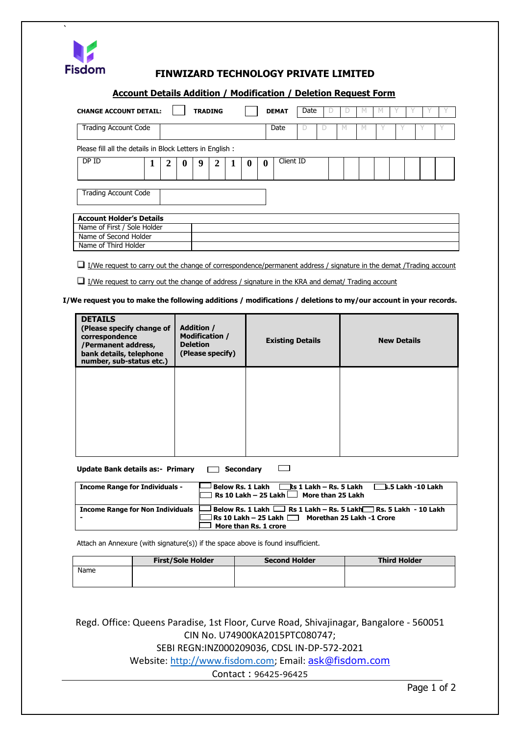

`

## **FINWIZARD TECHNOLOGY PRIVATE LIMITED**

|                                                                                                                                             |   |   |                                                                                   |                |   |   |                                             |   | <b>Account Details Addition / Modification / Deletion Request Form</b>              |                         |      |  |   |  |                    |   |  |  |  |  |                               |  |
|---------------------------------------------------------------------------------------------------------------------------------------------|---|---|-----------------------------------------------------------------------------------|----------------|---|---|---------------------------------------------|---|-------------------------------------------------------------------------------------|-------------------------|------|--|---|--|--------------------|---|--|--|--|--|-------------------------------|--|
| <b>CHANGE ACCOUNT DETAIL:</b>                                                                                                               |   |   |                                                                                   | <b>TRADING</b> |   |   |                                             |   | <b>DEMAT</b>                                                                        |                         | Date |  |   |  | D                  | M |  |  |  |  |                               |  |
| <b>Trading Account Code</b>                                                                                                                 |   |   |                                                                                   |                |   |   |                                             |   | Date                                                                                |                         | D    |  | D |  | М                  | M |  |  |  |  |                               |  |
| Please fill all the details in Block Letters in English :                                                                                   |   |   |                                                                                   |                |   |   |                                             |   |                                                                                     |                         |      |  |   |  |                    |   |  |  |  |  |                               |  |
| DP ID                                                                                                                                       | 1 | 2 | 0                                                                                 | 9              | 2 | 1 | $\bf{0}$                                    | 0 | Client ID                                                                           |                         |      |  |   |  |                    |   |  |  |  |  |                               |  |
| <b>Trading Account Code</b>                                                                                                                 |   |   |                                                                                   |                |   |   |                                             |   |                                                                                     |                         |      |  |   |  |                    |   |  |  |  |  |                               |  |
|                                                                                                                                             |   |   |                                                                                   |                |   |   |                                             |   |                                                                                     |                         |      |  |   |  |                    |   |  |  |  |  |                               |  |
| <b>Account Holder's Details</b>                                                                                                             |   |   |                                                                                   |                |   |   |                                             |   |                                                                                     |                         |      |  |   |  |                    |   |  |  |  |  |                               |  |
| Name of First / Sole Holder                                                                                                                 |   |   |                                                                                   |                |   |   |                                             |   |                                                                                     |                         |      |  |   |  |                    |   |  |  |  |  |                               |  |
| Name of Second Holder<br>Name of Third Holder                                                                                               |   |   |                                                                                   |                |   |   |                                             |   |                                                                                     |                         |      |  |   |  |                    |   |  |  |  |  |                               |  |
|                                                                                                                                             |   |   |                                                                                   |                |   |   |                                             |   |                                                                                     |                         |      |  |   |  |                    |   |  |  |  |  |                               |  |
| <b>DETAILS</b><br>(Please specify change of<br>correspondence<br>/Permanent address,<br>bank details, telephone<br>number, sub-status etc.) |   |   | <b>Addition /</b><br><b>Modification /</b><br><b>Deletion</b><br>(Please specify) |                |   |   |                                             |   |                                                                                     | <b>Existing Details</b> |      |  |   |  | <b>New Details</b> |   |  |  |  |  |                               |  |
|                                                                                                                                             |   |   |                                                                                   |                |   |   |                                             |   |                                                                                     |                         |      |  |   |  |                    |   |  |  |  |  |                               |  |
|                                                                                                                                             |   |   |                                                                                   |                |   |   |                                             |   |                                                                                     |                         |      |  |   |  |                    |   |  |  |  |  |                               |  |
| Update Bank details as:- Primary<br><b>Income Range for Individuals -</b>                                                                   |   |   |                                                                                   |                |   |   | $\Box$ Secondary<br><b>Below Rs. 1 Lakh</b> |   | $\Box$<br>$\Box$ ks 1 Lakh - Rs. 5 Lakh<br>$\sqcap$ Rs 10 Lakh $-$ 25 Lakh $\sqcup$ |                         |      |  |   |  | More than 25 Lakh  |   |  |  |  |  | $\mathsf{B}$ .5 Lakh -10 Lakh |  |

Attach an Annexure (with signature(s)) if the space above is found insufficient.

|      | <b>First/Sole Holder</b> | <b>Second Holder</b> | <b>Third Holder</b> |
|------|--------------------------|----------------------|---------------------|
| Name |                          |                      |                     |
|      |                          |                      |                     |

■ <u>Nore than Rs. 1 crore</u>

Regd. Office: Queens Paradise, 1st Floor, Curve Road, Shivajinagar, Bangalore - 560051 CIN No. U74900KA2015PTC080747;

SEBI REGN:INZ000209036, CDSL IN-DP-572-2021

Website: [http://www.fisdom.com;](http://www.fisdom.com/) Email: [ask@fisdom.com](mailto:ask@fisdom.com)

Contact : 96425-96425